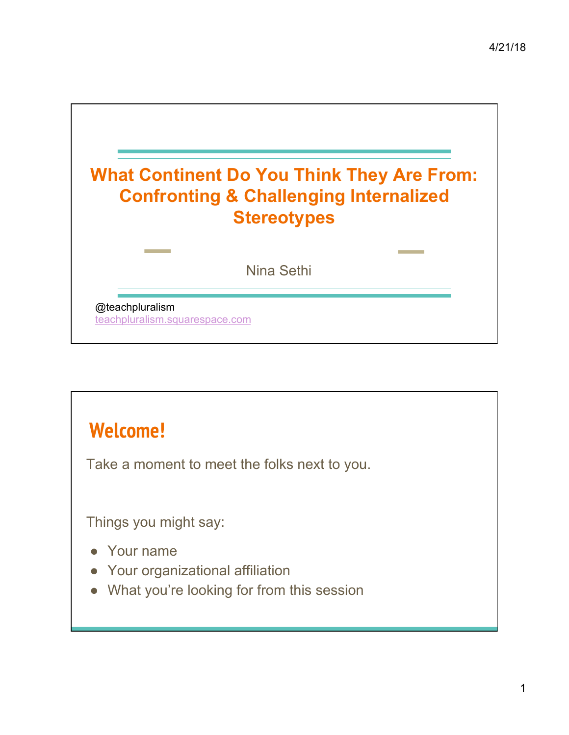

## **Welcome!**

Take a moment to meet the folks next to you.

Things you might say:

- Your name
- Your organizational affiliation
- What you're looking for from this session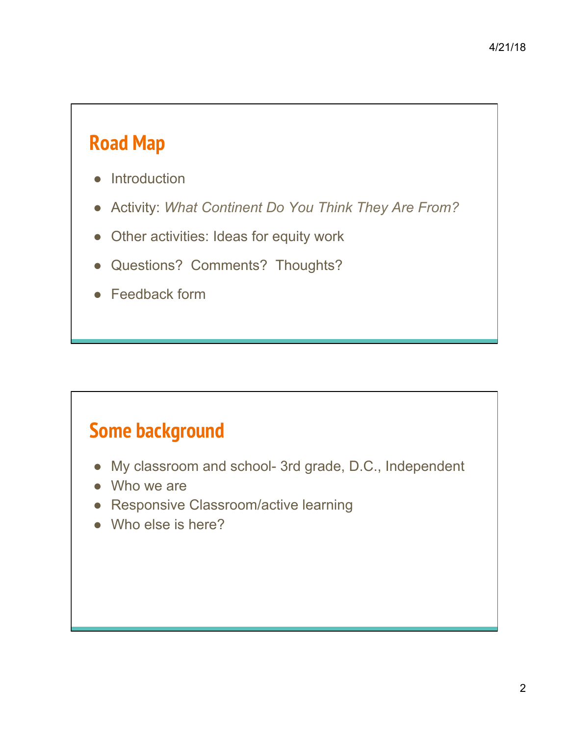## **Road Map**

- Introduction
- Activity: *What Continent Do You Think They Are From?*
- Other activities: Ideas for equity work
- Questions? Comments? Thoughts?
- Feedback form

## **Some background**

- My classroom and school- 3rd grade, D.C., Independent
- Who we are
- Responsive Classroom/active learning
- Who else is here?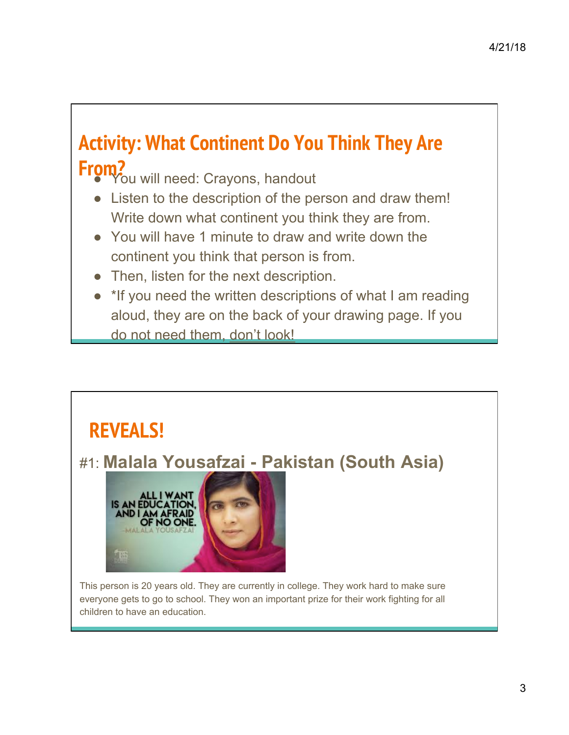# **Activity: What Continent Do You Think They Are From?**<br> **From? OU** will need: Crayons, handout

- Listen to the description of the person and draw them! Write down what continent you think they are from.
- You will have 1 minute to draw and write down the continent you think that person is from.
- Then, listen for the next description.
- \*If you need the written descriptions of what I am reading aloud, they are on the back of your drawing page. If you do not need them, don't look!



everyone gets to go to school. They won an important prize for their work fighting for all children to have an education.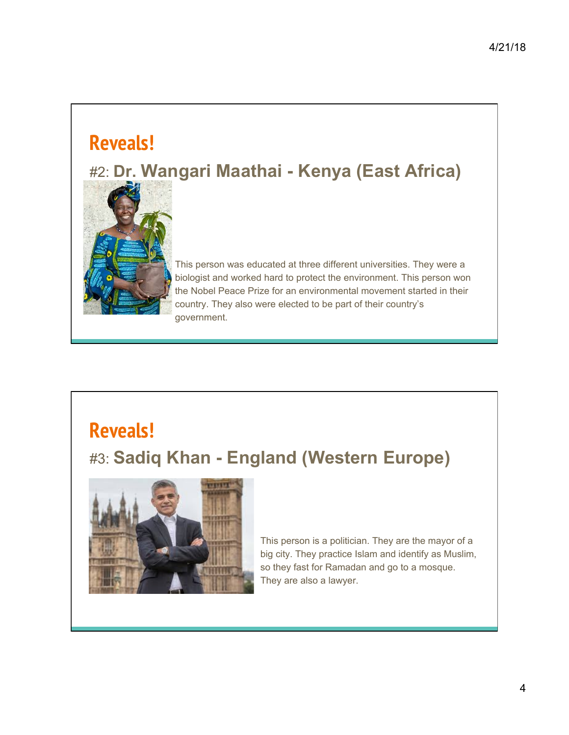#### **Reveals!**

#### #2: **Dr. Wangari Maathai - Kenya (East Africa)**



This person was educated at three different universities. They were a biologist and worked hard to protect the environment. This person won the Nobel Peace Prize for an environmental movement started in their country. They also were elected to be part of their country's government.

# **Reveals!**

#### #3: **Sadiq Khan - England (Western Europe)**



This person is a politician. They are the mayor of a big city. They practice Islam and identify as Muslim, so they fast for Ramadan and go to a mosque. They are also a lawyer.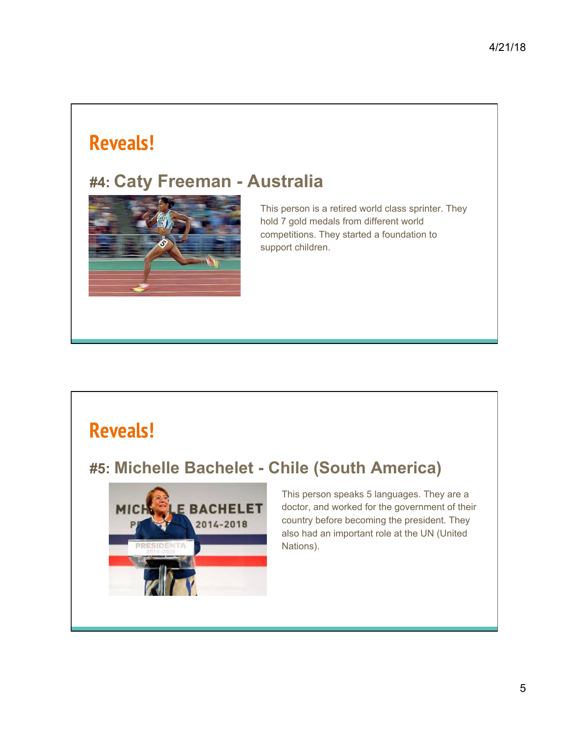#### **Reveals!**

#### **#4: Caty Freeman - Australia**



This person is a retired world class sprinter. They hold 7 gold medals from different world competitions. They started a foundation to support children.

#### **Reveals!**

#### **#5: Michelle Bachelet - Chile (South America)**



This person speaks 5 languages. They are a doctor, and worked for the government of their country before becoming the president. They also had an important role at the UN (United Nations).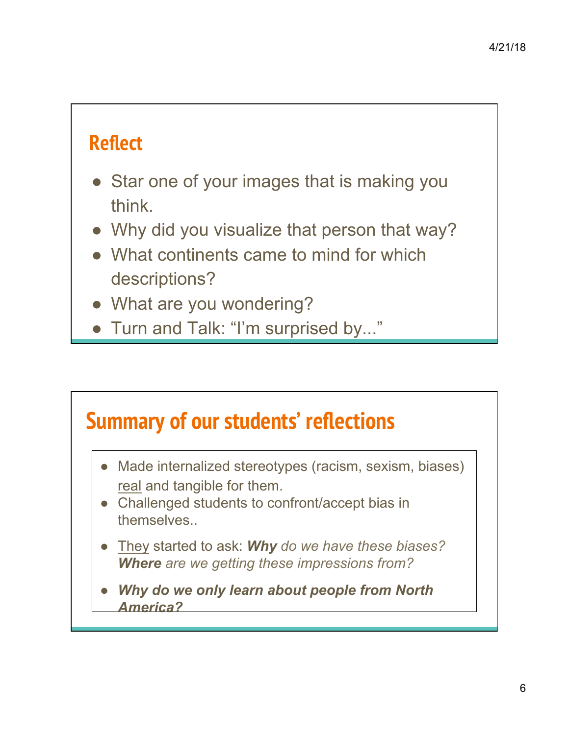## **Reflect**

- Star one of your images that is making you think.
- Why did you visualize that person that way?
- What continents came to mind for which descriptions?
- What are you wondering?
- Turn and Talk: "I'm surprised by..."

# **Summary of our students' reflections**

- Made internalized stereotypes (racism, sexism, biases) real and tangible for them.
- Challenged students to confront/accept bias in themselves..
- They started to ask: *Why do we have these biases? Where are we getting these impressions from?*
- **Why do we only learn about people from North** *America?*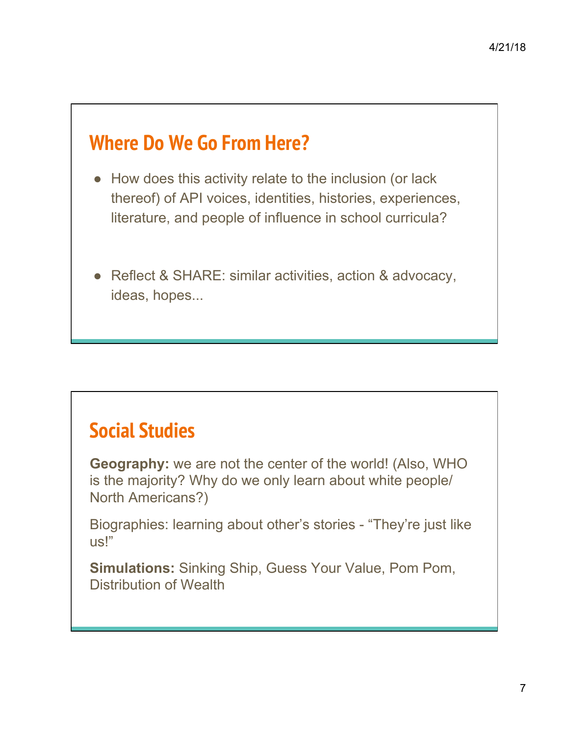#### **Where Do We Go From Here?**

- How does this activity relate to the inclusion (or lack thereof) of API voices, identities, histories, experiences, literature, and people of influence in school curricula?
- Reflect & SHARE: similar activities, action & advocacy, ideas, hopes...

## **Social Studies**

**Geography:** we are not the center of the world! (Also, WHO is the majority? Why do we only learn about white people/ North Americans?)

Biographies: learning about other's stories - "They're just like us!"

**Simulations:** Sinking Ship, Guess Your Value, Pom Pom, Distribution of Wealth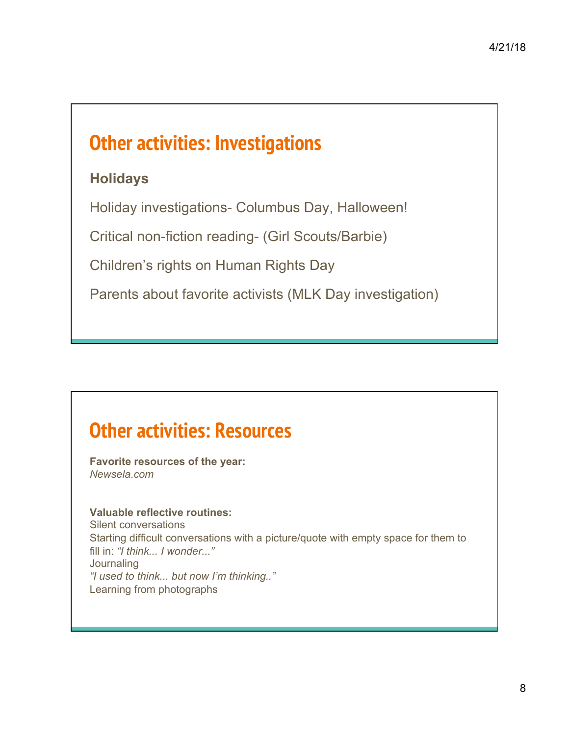## **Other activities: Investigations**

#### **Holidays**

Holiday investigations- Columbus Day, Halloween!

Critical non-fiction reading- (Girl Scouts/Barbie)

Children's rights on Human Rights Day

Parents about favorite activists (MLK Day investigation)

## **Other activities: Resources**

**Favorite resources of the year:**  *Newsela*.*com*

#### **Valuable reflective routines:**

Silent conversations Starting difficult conversations with a picture/quote with empty space for them to fill in: *"I think... I wonder..."* **Journaling** *"I used to think... but now I'm thinking.."*  Learning from photographs